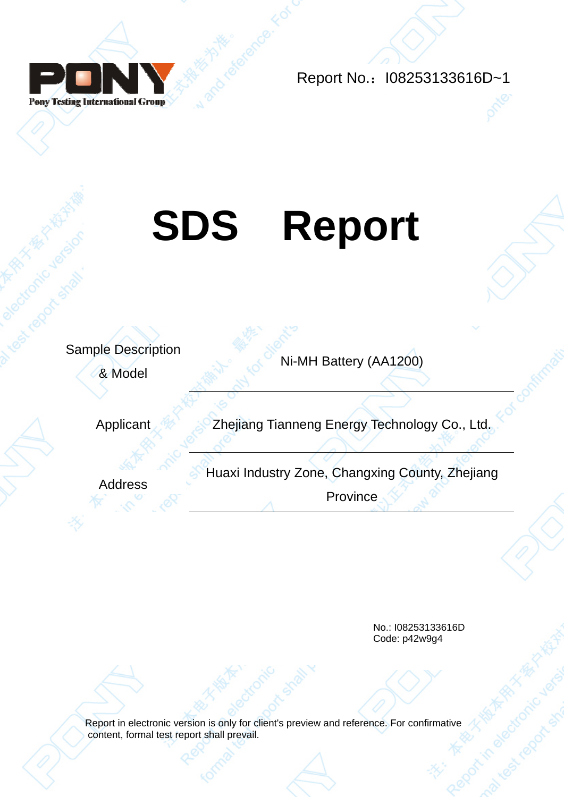

Report No.: I08253133616D~1

# **SDS Report**

Sample Description

**8** Model **Ni-MH Battery (AA1200)** 

Applicant Zhejiang Tianneng Energy Technology Co., Ltd.

Address Huaxi Industry Zone, Changxing County, Zhejiang<br>
Address

Province

No.: I08253133616D Code: p42w9g4

Report in electronic version is only for client's preview and reference. For confirmative content, formal test report shall prevail.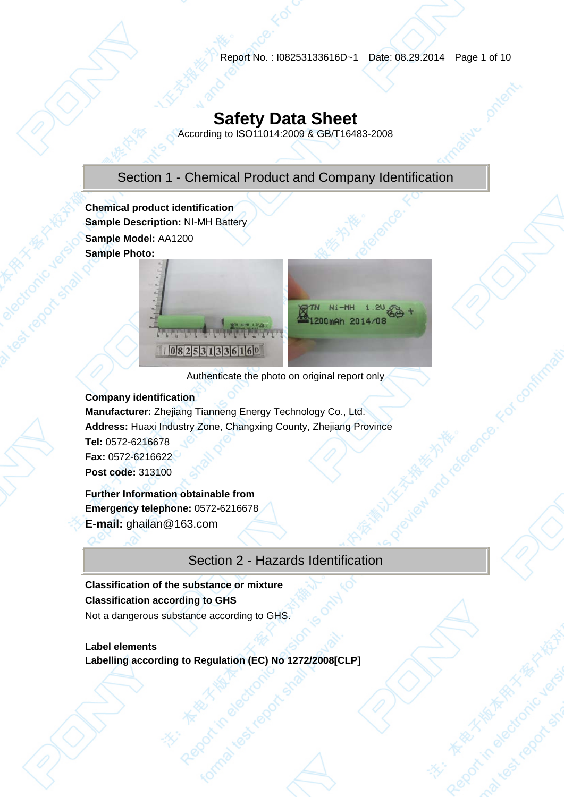# **Safety Data Sheet**

According to ISO11014:2009 & GB/T16483-2008

# Section 1 - Chemical Product and Company Identification

**Chemical product identification Sample Description:** NI-MH Battery **Sample Model:** AA1200 **Sample Photo:** 



Authenticate the photo on original report only

# **Company identification**

**Manufacturer:** Zhejiang Tianneng Energy Technology Co., Ltd. **Address:** Huaxi Industry Zone, Changxing County, Zhejiang Province **Tel:** 0572-6216678 **Fax:** 0572-6216622 **Post code:** 313100

# **Further Information obtainable from Emergency telephone:** 0572-6216678

**E-mail:** ghailan@163.com

# Section 2 - Hazards Identification

## **Classification of the substance or mixture**

# **Classification according to GHS**

Not a dangerous substance according to GHS.

# **Label elements**

**Labelling according to Regulation (EC) No 1272/2008[CLP]**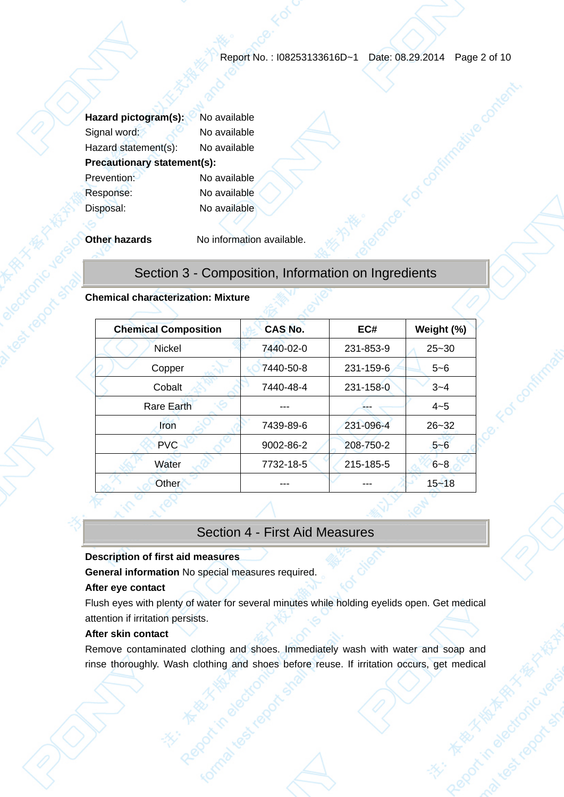Ge-Forco

| Hazard pictogram(s):               | No available |  |  |  |
|------------------------------------|--------------|--|--|--|
| Signal word:                       | No available |  |  |  |
| Hazard statement(s):               | No available |  |  |  |
| <b>Precautionary statement(s):</b> |              |  |  |  |
| Prevention:                        | No available |  |  |  |
| Response:                          | No available |  |  |  |
| Disposal:                          | No available |  |  |  |
|                                    |              |  |  |  |

**Other hazards No information available.** 

# Section 3 - Composition, Information on Ingredients

#### **Chemical characterization: Mixture**

| <b>Chemical Composition</b> | <b>CAS No.</b> | EC#                  | Weight (%) |  |  |
|-----------------------------|----------------|----------------------|------------|--|--|
| <b>Nickel</b>               | 7440-02-0      | 231-853-9            | $25 - 30$  |  |  |
| Copper                      | 7440-50-8      | 231-159-6<br>$5 - 6$ |            |  |  |
| Cobalt                      | 7440-48-4      | 231-158-0            | $3 - 4$    |  |  |
| <b>Rare Earth</b>           |                |                      | $4 - 5$    |  |  |
| Iron                        | 7439-89-6      | 231-096-4            | $26 - 32$  |  |  |
| <b>PVC</b>                  | 9002-86-2      | 208-750-2            | $5 - 6$    |  |  |
| Water                       | 7732-18-5      | 215-185-5            | $6 - 8$    |  |  |
| Other                       |                |                      | $15 - 18$  |  |  |
|                             |                |                      |            |  |  |

# Section 4 - First Aid Measures

#### **Description of first aid measures**

**General information** No special measures required.

#### **After eye contact**

Flush eyes with plenty of water for several minutes while holding eyelids open. Get medical attention if irritation persists.

# **After skin contact**

Remove contaminated clothing and shoes. Immediately wash with water and soap and rinse thoroughly. Wash clothing and shoes before reuse. If irritation occurs, get medical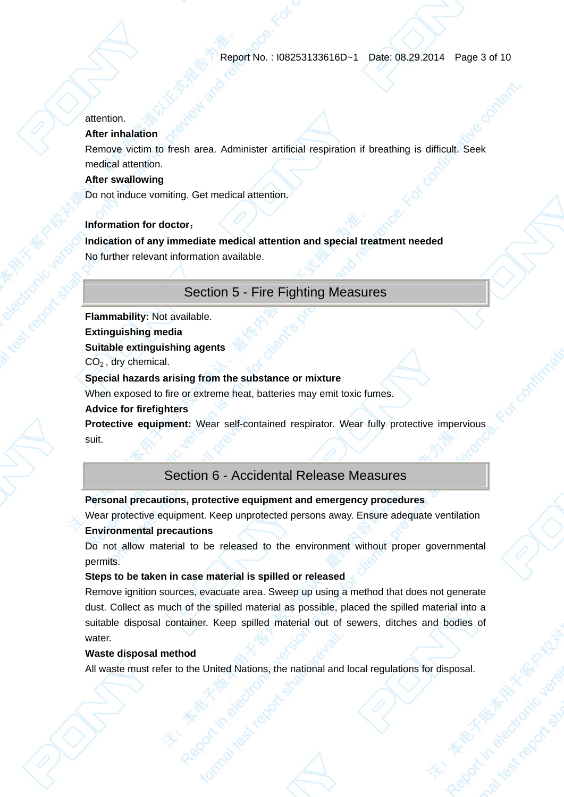## attention.

# **After inhalation**

Remove victim to fresh area. Administer artificial respiration if breathing is difficult. Seek medical attention.

#### **After swallowing**

Do not induce vomiting. Get medical attention.

#### **Information for doctor**:

**Indication of any immediate medical attention and special treatment needed**  No further relevant information available.

# Section 5 - Fire Fighting Measures

**Flammability:** Not available. **Extinguishing media** 

**Suitable extinguishing agents** 

CO2 , dry chemical.

## **Special hazards arising from the substance or mixture**

When exposed to fire or extreme heat, batteries may emit toxic fumes.

#### **Advice for firefighters**

Protective equipment: Wear self-contained respirator. Wear fully protective impervious suit.

# Section 6 - Accidental Release Measures

#### **Personal precautions, protective equipment and emergency procedures**

Wear protective equipment. Keep unprotected persons away. Ensure adequate ventilation **Environmental precautions** 

Do not allow material to be released to the environment without proper governmental permits.

#### **Steps to be taken in case material is spilled or released**

Remove ignition sources, evacuate area. Sweep up using a method that does not generate dust. Collect as much of the spilled material as possible, placed the spilled material into a suitable disposal container. Keep spilled material out of sewers, ditches and bodies of water.

#### **Waste disposal method**

All waste must refer to the United Nations, the national and local regulations for disposal.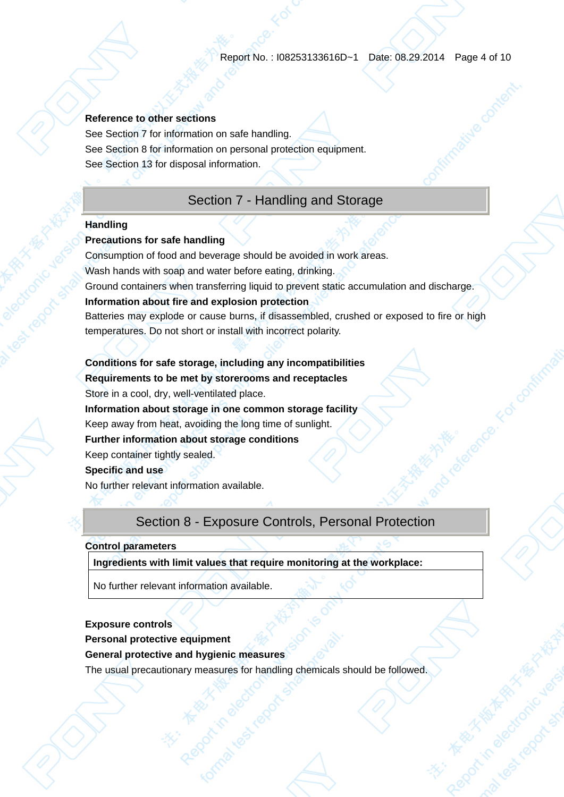#### **Reference to other sections**

See Section 7 for information on safe handling. See Section 8 for information on personal protection equipment. See Section 13 for disposal information.

# Section 7 - Handling and Storage

#### **Handling**

#### **Precautions for safe handling**

Consumption of food and beverage should be avoided in work areas.

Wash hands with soap and water before eating, drinking.

Ground containers when transferring liquid to prevent static accumulation and discharge.

#### **Information about fire and explosion protection**

Batteries may explode or cause burns, if disassembled, crushed or exposed to fire or high temperatures. Do not short or install with incorrect polarity.

**Conditions for safe storage, including any incompatibilities Requirements to be met by storerooms and receptacles**  Store in a cool, dry, well-ventilated place.

#### **Information about storage in one common storage facility**

Keep away from heat, avoiding the long time of sunlight.

#### **Further information about storage conditions**

Keep container tightly sealed.

#### **Specific and use**

No further relevant information available.

# Section 8 - Exposure Controls, Personal Protection

#### **Control parameters**

## **Ingredients with limit values that require monitoring at the workplace:**

No further relevant information available.

#### **Exposure controls**

## **Personal protective equipment**

# **General protective and hygienic measures**

The usual precautionary measures for handling chemicals should be followed.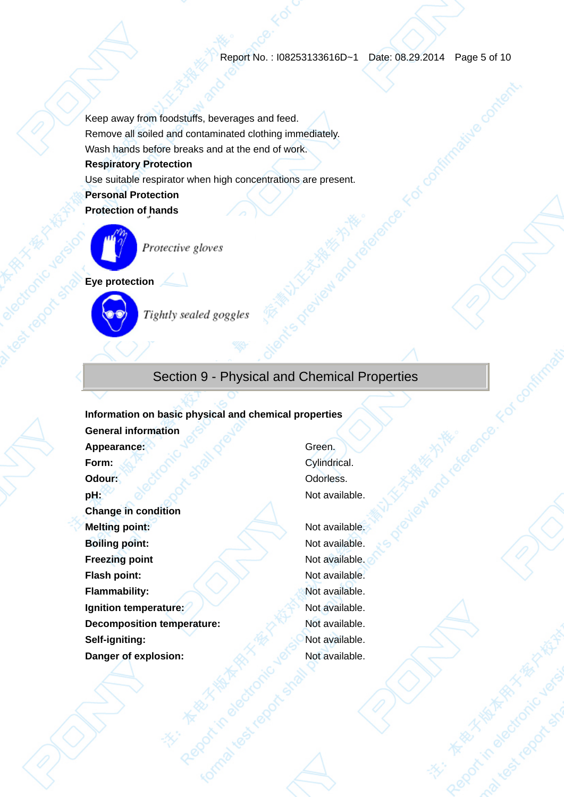# Report No. : I08253133616D~1 Date: 08.29.2014 Page 5 of 10

Keep away from foodstuffs, beverages and feed. Remove all soiled and contaminated clothing immediately. Wash hands before breaks and at the end of work. **Respiratory Protection**  Use suitable respirator when high concentrations are present. **Personal Protection Protection of hands** 



Protective gloves

**Eye protection** 



Tightly sealed goggles

# Section 9 - Physical and Chemical Properties

**Information on basic physical and chemical properties**

**General information**  Appearance: **Contract Contract Contract Contract Contract Contract Contract Contract Contract Contract Contract Contract Contract Contract Contract Contract Contract Contract Contract Contract Contract Contract Contract Co Form:**  $\langle \cdot \rangle$  **Cylindrical. Odour: Odorless. pH: Not** available. **Change in condition Melting point:** Not available. **Boiling point:** Not available. **Freezing point Not available. Flash point:** Not available. **Flammability:** Not available. **Ignition temperature: Not** available. **Decomposition temperature:** Not available. **Self-igniting:** Not available.

**Danger of explosion: Not available.** Not available.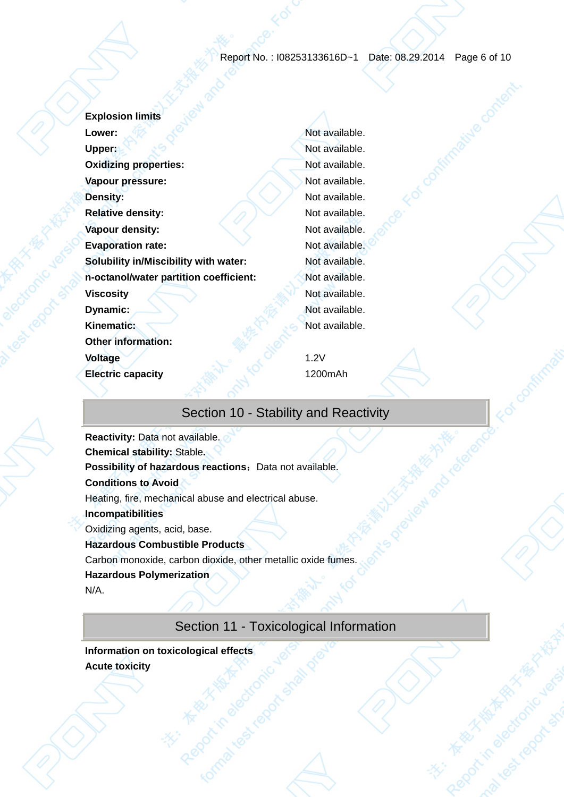## Report No. : I08253133616D~1 Date: 08.29.2014 Page 6 of 10

**Explosion limits Lower:**  $\sqrt{2}$  **Lower:**  $\sqrt{2}$  **Not available. Upper:** Not available. **Oxidizing properties:** Not available. **Vapour pressure: Not available. Density:** Not available. **Relative density:** Not available. **Vapour density:** Not available. **Evaporation rate:** Not available. **Solubility in/Miscibility with water:** Not available. **n-octanol/water partition coefficient:** Not available. **Viscosity Not available. Dynamic:** Not available. **Kinematic:** Not available. **Other information: Voltage** 1.2V **Electric capacity** 1200mAh

# Section 10 - Stability and Reactivity

**Reactivity:** Data not available. **Chemical stability:** Stable**. Possibility of hazardous reactions:** Data not available. **Conditions to Avoid**  Heating, fire, mechanical abuse and electrical abuse. **Incompatibilities**  Oxidizing agents, acid, base. **Hazardous Combustible Products** Carbon monoxide, carbon dioxide, other metallic oxide fumes. **Hazardous Polymerization**  N/A.

# Section 11 - Toxicological Information

**Information on toxicological effects Acute toxicity**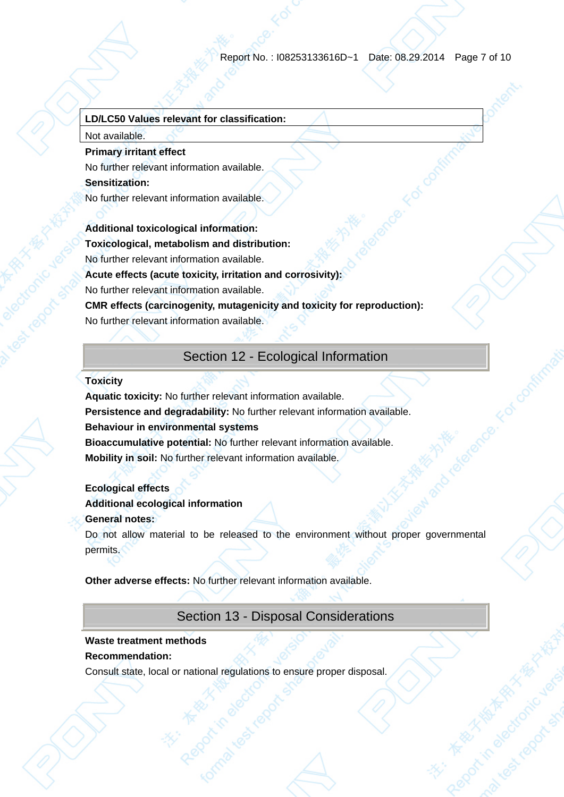#### **LD/LC50 Values relevant for classification:**

Not available.

## **Primary irritant effect**

No further relevant information available.

# **Sensitization:**

No further relevant information available.

# **Additional toxicological information:**

# **Toxicological, metabolism and distribution:**

No further relevant information available.

#### **Acute effects (acute toxicity, irritation and corrosivity):**

No further relevant information available.

# **CMR effects (carcinogenity, mutagenicity and toxicity for reproduction):**

No further relevant information available.

# Section 12 - Ecological Information

## **Toxicity**

**Aquatic toxicity:** No further relevant information available. **Persistence and degradability:** No further relevant information available. **Behaviour in environmental systems Bioaccumulative potential:** No further relevant information available. **Mobility in soil:** No further relevant information available.

## **Ecological effects**

## **Additional ecological information**

## **General notes:**

Do not allow material to be released to the environment without proper governmental permits.

**Other adverse effects:** No further relevant information available.

Section 13 - Disposal Considerations

# **Waste treatment methods**

# **Recommendation:**

Consult state, local or national regulations to ensure proper disposal.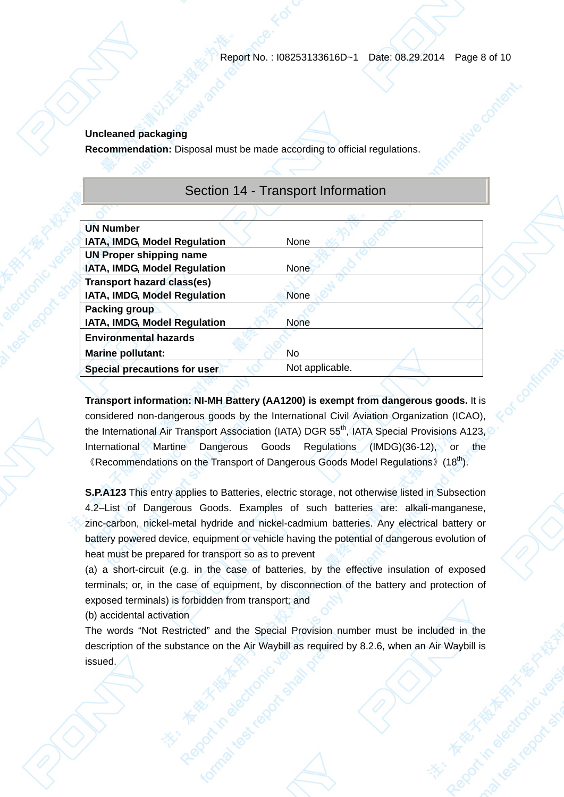## **Uncleaned packaging**

**Recommendation:** Disposal must be made according to official regulations.

# **UN Number IATA, IMDG, Model Regulation None UN Proper shipping name IATA, IMDG, Model Regulation Mone Transport hazard class(es) IATA, IMDG, Model Regulation Mone Packing group IATA, IMDG, Model Regulation Mone Environmental hazards Marine pollutant:** No **Special precautions for user <b>Not** Not applicable. Section 14 - Transport Information

**Transport information: NI-MH Battery (AA1200) is exempt from dangerous goods.** It is considered non-dangerous goods by the International Civil Aviation Organization (ICAO), the International Air Transport Association (IATA) DGR 55<sup>th</sup>, IATA Special Provisions A123, International Martine Dangerous Goods Regulations (IMDG)(36-12), or the «Recommendations on the Transport of Dangerous Goods Model Regulations» (18<sup>th</sup>).

**S.P.A123** This entry applies to Batteries, electric storage, not otherwise listed in Subsection 4.2–List of Dangerous Goods. Examples of such batteries are: alkali-manganese, zinc-carbon, nickel-metal hydride and nickel-cadmium batteries. Any electrical battery or battery powered device, equipment or vehicle having the potential of dangerous evolution of heat must be prepared for transport so as to prevent

(a) a short-circuit (e.g. in the case of batteries, by the effective insulation of exposed terminals; or, in the case of equipment, by disconnection of the battery and protection of exposed terminals) is forbidden from transport; and

(b) accidental activation

The words "Not Restricted" and the Special Provision number must be included in the description of the substance on the Air Waybill as required by 8.2.6, when an Air Waybill is issued.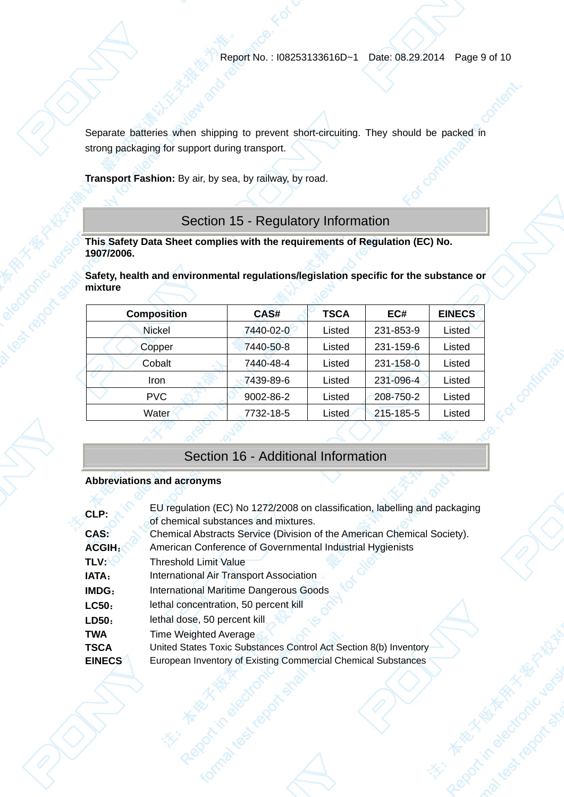Separate batteries when shipping to prevent short-circuiting. They should be packed in strong packaging for support during transport.

**Transport Fashion:** By air, by sea, by railway, by road.

# Section 15 - Regulatory Information

**This Safety Data Sheet complies with the requirements of Regulation (EC) No. 1907/2006.** 

**Safety, health and environmental regulations/legislation specific for the substance or mixture** 

| <b>Composition</b> | CAS#      | <b>TSCA</b> | EC#       | <b>EINECS</b> |
|--------------------|-----------|-------------|-----------|---------------|
| <b>Nickel</b>      | 7440-02-0 | Listed      | 231-853-9 | Listed        |
| Copper             | 7440-50-8 | Listed      | 231-159-6 | Listed        |
| Cobalt             | 7440-48-4 | Listed      | 231-158-0 | Listed        |
| Iron               | 7439-89-6 | Listed      | 231-096-4 | Listed        |
| <b>PVC</b>         | 9002-86-2 | Listed      | 208-750-2 | Listed        |
| Water              | 7732-18-5 | Listed      | 215-185-5 | Listed        |
|                    |           |             |           |               |

# Section 16 - Additional Information

# **Abbreviations and acronyms**

| CLP:          | EU regulation (EC) No 1272/2008 on classification, labelling and packaging<br>of chemical substances and mixtures. |
|---------------|--------------------------------------------------------------------------------------------------------------------|
| CAS:          | Chemical Abstracts Service (Division of the American Chemical Society).                                            |
| <b>ACGIH:</b> | American Conference of Governmental Industrial Hygienists                                                          |
| TLV:          | <b>Threshold Limit Value</b>                                                                                       |
| IATA:         | International Air Transport Association                                                                            |
| IMDG:         | <b>International Maritime Dangerous Goods</b>                                                                      |
| LC50:         | lethal concentration, 50 percent kill                                                                              |
| LD50:         | lethal dose, 50 percent kill                                                                                       |
| <b>TWA</b>    | Time Weighted Average                                                                                              |
| <b>TSCA</b>   | United States Toxic Substances Control Act Section 8(b) Inventory                                                  |
| <b>EINECS</b> | European Inventory of Existing Commercial Chemical Substances                                                      |
|               |                                                                                                                    |